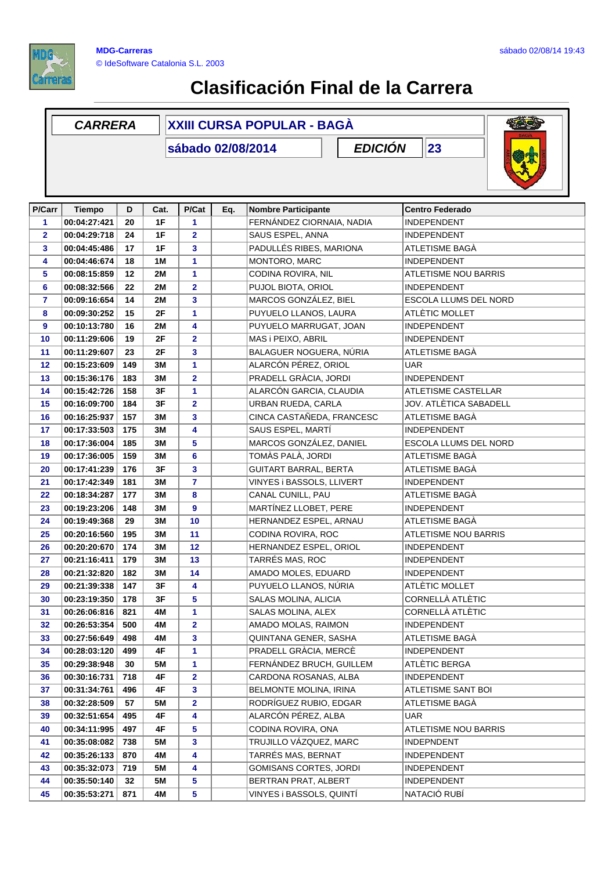

## **Clasificación Final de la Carrera**

## **D Cat. P/Cat Eq. Nombre Participante Centro Federado** *CARRERA* **XXIII CURSA POPULAR - BAGÀ sábado 02/08/2014 P/Carr Tiempo** *EDICIÓN* **23 P/Cat 00:04:27:421 20 1F 1** FERNÁNDEZ CIORNAIA, NADIA INDEPENDENT **00:04:29:718 24 1F 2** SAUS ESPEL, ANNA INDEPENDENT **00:04:45:486 17 1F 3** PADULLÉS RIBES, MARIONA ATLETISME BAGÀ **00:04:46:674 18 1M 1** MONTORO, MARC INDEPENDENT **00:08:15:859 12 2M 1** CODINA ROVIRA, NIL ATLETISME NOU BARRIS **00:08:32:566 22 2M 2** PUJOL BIOTA, ORIOL INDEPENDENT **00:09:16:654 14 2M 3** MARCOS GONZÁLEZ, BIEL ESCOLA LLUMS DEL NORD **00:09:30:252 15 2F 1** PUYUELO LLANOS, LAURA ATLÈTIC MOLLET **00:10:13:780 16 2M 4** PUYUELO MARRUGAT, JOAN INDEPENDENT **00:11:29:606 19 2F 2** MAS i PEIXO, ABRIL INDEPENDENT **00:11:29:607 23 2F 3** BALAGUER NOGUERA, NÚRIA ATLETISME BAGÀ **00:15:23:609 149 3M 1** ALARCÓN PÉREZ, ORIOL UAR **00:15:36:176 183 3M 2** PRADELL GRÀCIA, JORDI INDEPENDENT **00:15:42:726 158 3F 1** ALARCÓN GARCIA, CLAUDIA ATLETISME CASTELLAR **00:16:09:700 184 3F 2** URBAN RUEDA, CARLA JOV. ATLÈTICA SABADELL **00:16:25:937 157 3M 3** CINCA CASTAÑEDA, FRANCESC ATLETISME BAGÀ **00:17:33:503 175 3M 4** SAUS ESPEL, MARTÍ INDEPENDENT **00:17:36:004 185 3M 5** MARCOS GONZÁLEZ, DANIEL ESCOLA LLUMS DEL NORD **00:17:36:005 159 3M 6** TOMÀS PALÀ, JORDI ATLETISME BAGÀ **00:17:41:239 176 3F 3** GUITART BARRAL, BERTA ATLETISME BAGÀ **00:17:42:349 181 3M 7** VINYES i BASSOLS, LLIVERT INDEPENDENT **00:18:34:287 177 3M 8** CANAL CUNILL, PAU ATLETISME BAGÀ **00:19:23:206 148 3M 9** MARTÍNEZ LLOBET, PERE INDEPENDENT **00:19:49:368 29 3M 10** HERNANDEZ ESPEL, ARNAU ATLETISME BAGÀ **00:20:16:560 195 3M 11** CODINA ROVIRA, ROC ATLETISME NOU BARRIS **00:20:20:670 174 3M 12** HERNANDEZ ESPEL, ORIOL INDEPENDENT **00:21:16:411 179 3M 13** TARRÉS MAS, ROC INDEPENDENT **00:21:32:820 182 3M 14** AMADO MOLES, EDUARD INDEPENDENT **00:21:39:338 147 3F 4** PUYUELO LLANOS, NÚRIA ATLÈTIC MOLLET **00:23:19:350 178 3F 5** SALAS MOLINA, ALICIA CORNELLÀ ATLÈTIC **00:26:06:816 821 4M 1** SALAS MOLINA, ALEX CORNELLÀ ATLÈTIC **00:26:53:354 500 4M 2** AMADO MOLAS, RAIMON INDEPENDENT **00:27:56:649 498 4M 3** QUINTANA GENER, SASHA ATLETISME BAGÀ **00:28:03:120 499 4F 1** PRADELL GRÀCIA, MERCÈ INDEPENDENT **00:29:38:948 30 5M 1** FERNÁNDEZ BRUCH, GUILLEM ATLÈTIC BERGA **00:30:16:731 718 4F 2** CARDONA ROSANAS, ALBA INDEPENDENT **00:31:34:761 | 496 | 4F** | 3 | |BELMONTE MOLINA, IRINA |ATLETISME SANT BOI **00:32:28:509 57 5M 2** RODRÍGUEZ RUBIO, EDGAR ATLETISME BAGÀ **00:32:51:654 495 4F 4** ALARCÓN PÉREZ, ALBA UAR **00:34:11:995 497 4F 5** CODINA ROVIRA, ONA ATLETISME NOU BARRIS **00:35:08:082 738 5M 3** TRUJILLO VÁZQUEZ, MARC INDEPNDENT **00:35:26:133 870 4M 4** TARRÉS MAS, BERNAT INDEPENDENT **00:35:32:073 719 5M 4** GOMISANS CORTES, JORDI INDEPENDENT **00:35:50:140 32 5M 5** BERTRAN PRAT, ALBERT INDEPENDENT **00:35:53:271 871 4M 5** VINYES i BASSOLS, QUINTÍ NATACIÓ RUBÍ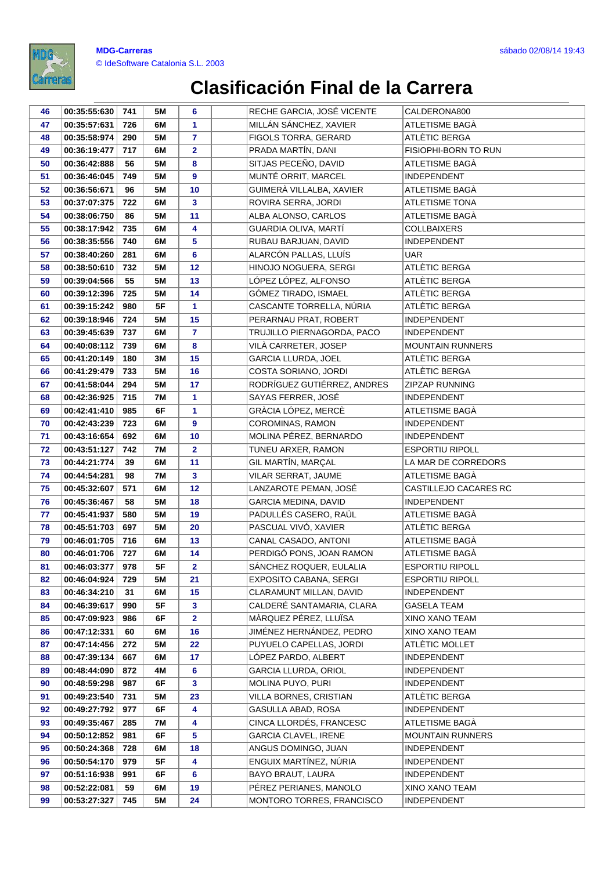

| 46 | 00:35:55:630 | 741 | 5M        | 6              | RECHE GARCIA, JOSÉ VICENTE  | CALDERONA800            |
|----|--------------|-----|-----------|----------------|-----------------------------|-------------------------|
| 47 | 00:35:57:631 | 726 | 6M        | 1              | MILLÁN SÁNCHEZ, XAVIER      | ATLETISME BAGÀ          |
| 48 | 00:35:58:974 | 290 | 5M        | $\overline{7}$ | FIGOLS TORRA, GERARD        | ATLÈTIC BERGA           |
| 49 | 00:36:19:477 | 717 | 6M        | $\overline{2}$ | PRADA MARTÍN, DANI          | FISIOPHI-BORN TO RUN    |
| 50 | 00:36:42:888 | 56  | 5M        | 8              | SITJAS PECEÑO, DAVID        | ATLETISME BAGÀ          |
| 51 | 00:36:46:045 | 749 | <b>5M</b> | 9              | MUNTÉ ORRIT, MARCEL         | <b>INDEPENDENT</b>      |
| 52 | 00:36:56:671 | 96  | 5M        | 10             | GUIMERÀ VILLALBA, XAVIER    | ATLETISME BAGÀ          |
| 53 | 00:37:07:375 | 722 | 6M        | 3              | ROVIRA SERRA, JORDI         | <b>ATLETISME TONA</b>   |
| 54 | 00:38:06:750 | 86  | 5M        | 11             | ALBA ALONSO, CARLOS         | ATLETISME BAGÀ          |
| 55 | 00:38:17:942 | 735 | 6M        | 4              | GUARDIA OLIVA, MARTÍ        | <b>COLLBAIXERS</b>      |
| 56 | 00:38:35:556 | 740 | 6M        | 5              | RUBAU BARJUAN, DAVID        | <b>INDEPENDENT</b>      |
| 57 | 00:38:40:260 | 281 | 6M        | 6              | ALARCÓN PALLAS, LLUÍS       | <b>UAR</b>              |
| 58 | 00:38:50:610 | 732 | 5M        | 12             | HINOJO NOGUERA, SERGI       | ATLÈTIC BERGA           |
| 59 | 00:39:04:566 | 55  | <b>5M</b> | 13             | LÓPEZ LÓPEZ, ALFONSO        | ATLÈTIC BERGA           |
| 60 | 00:39:12:396 | 725 | 5M        | 14             | GÓMEZ TIRADO, ISMAEL        | ATLÈTIC BERGA           |
| 61 | 00:39:15:242 | 980 | 5F        | 1              | CASCANTE TORRELLA, NÚRIA    | ATLÈTIC BERGA           |
| 62 | 00:39:18:946 | 724 | 5M        | 15             | PERARNAU PRAT, ROBERT       | <b>INDEPENDENT</b>      |
| 63 | 00:39:45:639 | 737 | 6M        | $\mathbf{7}$   | TRUJILLO PIERNAGORDA, PACO  | <b>INDEPENDENT</b>      |
| 64 | 00:40:08:112 | 739 | 6М        | 8              | VILÀ CARRETER, JOSEP        | <b>MOUNTAIN RUNNERS</b> |
| 65 | 00:41:20:149 | 180 | 3M        | 15             | GARCIA LLURDA, JOEL         | ATLÈTIC BERGA           |
| 66 | 00:41:29:479 | 733 | <b>5M</b> | 16             | COSTA SORIANO, JORDI        | ATLÈTIC BERGA           |
| 67 | 00:41:58:044 | 294 | 5M        | 17             | RODRÍGUEZ GUTIÉRREZ, ANDRES | <b>ZIPZAP RUNNING</b>   |
| 68 | 00:42:36:925 | 715 | <b>7M</b> | 1              | SAYAS FERRER, JOSÉ          | <b>INDEPENDENT</b>      |
| 69 | 00:42:41:410 | 985 | 6F        | 1              | GRÀCIA LÓPEZ, MERCÈ         | ATLETISME BAGÀ          |
| 70 | 00:42:43:239 | 723 | 6M        | 9              | COROMINAS, RAMON            | <b>INDEPENDENT</b>      |
| 71 | 00:43:16:654 | 692 | 6M        | 10             | MOLINA PÉREZ, BERNARDO      | <b>INDEPENDENT</b>      |
| 72 | 00:43:51:127 | 742 | <b>7M</b> | $\overline{2}$ | TUNEU ARXER, RAMON          | <b>ESPORTIU RIPOLL</b>  |
| 73 | 00:44:21:774 | 39  | 6M        | 11             | GIL MARTÍN, MARÇAL          | LA MAR DE CORREDORS     |
| 74 | 00:44:54:281 | 98  | 7M        | $\mathbf{3}$   | VILAR SERRAT, JAUME         | ATLETISME BAGÀ          |
| 75 | 00:45:32:607 | 571 | 6M        | 12             | LANZAROTE PEMAN, JOSÉ       | CASTILLEJO CACARES RC   |
| 76 | 00:45:36:467 | 58  | <b>5M</b> | 18             | <b>GARCIA MEDINA, DAVID</b> | <b>INDEPENDENT</b>      |
| 77 | 00:45:41:937 | 580 | <b>5M</b> | 19             | PADULLÉS CASERO, RAÜL       | ATLETISME BAGÀ          |
| 78 | 00:45:51:703 | 697 | 5M        | 20             | PASCUAL VIVÓ, XAVIER        | ATLÈTIC BERGA           |
| 79 | 00:46:01:705 | 716 | 6M        | 13             | CANAL CASADO, ANTONI        | ATLETISME BAGÀ          |
| 80 | 00:46:01:706 | 727 | 6M        | 14             | PERDIGÓ PONS, JOAN RAMON    | ATLETISME BAGÀ          |
| 81 | 00:46:03:377 | 978 | 5F        | $\overline{2}$ | SÁNCHEZ ROQUER, EULALIA     | <b>ESPORTIU RIPOLL</b>  |
| 82 | 00:46:04:924 | 729 | 5M        | 21             | EXPOSITO CABANA, SERGI      | <b>ESPORTIU RIPOLL</b>  |
| 83 | 00:46:34:210 | 31  | 6M        | 15             | CLARAMUNT MILLAN, DAVID     | <b>INDEPENDENT</b>      |
| 84 | 00:46:39:617 | 990 | 5F        | $\mathbf{3}$   | CALDERÉ SANTAMARIA, CLARA   | GASELA TEAM             |
| 85 | 00:47:09:923 | 986 | 6F        | $\mathbf{2}$   | MÀRQUEZ PÉREZ, LLUÏSA       | XINO XANO TEAM          |
| 86 | 00:47:12:331 | 60  | 6M        | 16             | JIMÉNEZ HERNÁNDEZ, PEDRO    | XINO XANO TEAM          |
| 87 | 00:47:14:456 | 272 | 5M        | 22             | PUYUELO CAPELLAS, JORDI     | ATLÈTIC MOLLET          |
| 88 | 00:47:39:134 | 667 | 6M        | 17             | LÓPEZ PARDO, ALBERT         | INDEPENDENT             |
| 89 | 00:48:44:090 | 872 | 4M        | 6              | <b>GARCIA LLURDA, ORIOL</b> | <b>INDEPENDENT</b>      |
| 90 | 00:48:59:298 | 987 | 6F        | 3              | MOLINA PUYO, PURI           | <b>INDEPENDENT</b>      |
| 91 | 00:49:23:540 | 731 | 5M        | 23             | VILLA BORNES, CRISTIAN      | ATLÉTIC BERGA           |
| 92 | 00:49:27:792 | 977 | 6F        | 4              | GASULLA ABAD, ROSA          | <b>INDEPENDENT</b>      |
| 93 | 00:49:35:467 | 285 | 7M        | 4              | CINCA LLORDÉS, FRANCESC     | ATLETISME BAGA          |
| 94 | 00:50:12:852 | 981 | 6F        | 5              | GARCIA CLAVEL, IRENE        | MOUNTAIN RUNNERS        |
| 95 | 00:50:24:368 | 728 | 6M        | 18             | ANGUS DOMINGO, JUAN         | <b>INDEPENDENT</b>      |
| 96 | 00:50:54:170 | 979 | 5F        | 4              | ENGUIX MARTÍNEZ, NÚRIA      | <b>INDEPENDENT</b>      |
| 97 | 00:51:16:938 | 991 | 6F        | 6              | BAYO BRAUT, LAURA           | <b>INDEPENDENT</b>      |
| 98 | 00:52:22:081 | 59  | 6M        | 19             | PÉREZ PERIANES, MANOLO      | XINO XANO TEAM          |
| 99 | 00:53:27:327 | 745 | 5M        | 24             | MONTORO TORRES, FRANCISCO   | <b>INDEPENDENT</b>      |

José Partide de La Barbara